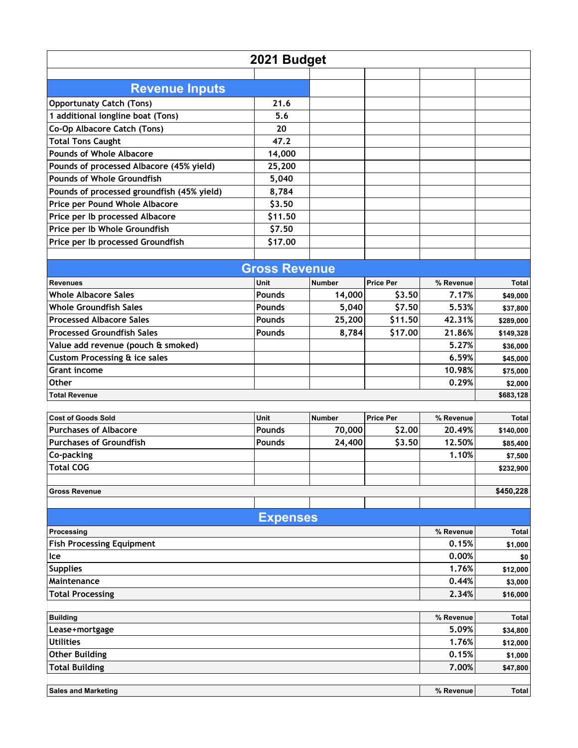| <b>Revenue Inputs</b><br><b>Opportunaty Catch (Tons)</b><br>21.6<br>1 additional longline boat (Tons)<br>5.6<br>Co-Op Albacore Catch (Tons)<br>20<br><b>Total Tons Caught</b><br>47.2<br><b>Pounds of Whole Albacore</b><br>14,000<br>Pounds of processed Albacore (45% yield)<br>25,200<br><b>Pounds of Whole Groundfish</b><br>5,040<br>Pounds of processed groundfish (45% yield)<br>8,784<br>Price per Pound Whole Albacore<br>\$3.50<br>Price per Ib processed Albacore<br>\$11.50<br>Price per Ib Whole Groundfish<br>\$7.50<br>\$17.00<br>Price per Ib processed Groundfish<br><b>Gross Revenue</b><br><b>Price Per</b><br>Unit<br><b>Number</b><br>% Revenue<br><b>Revenues</b><br>Total<br><b>Whole Albacore Sales</b><br><b>Pounds</b><br>14,000<br>\$3.50<br>7.17%<br>\$49,000<br><b>Whole Groundfish Sales</b><br>5.53%<br><b>Pounds</b><br>5,040<br>\$7.50<br>\$37,800<br>\$11.50<br><b>Processed Albacore Sales</b><br>Pounds<br>25,200<br>42.31%<br>\$289,000<br><b>Processed Groundfish Sales</b><br>\$17.00<br><b>Pounds</b><br>8,784<br>21.86%<br>\$149,328<br>5.27%<br>Value add revenue (pouch & smoked)<br>\$36,000<br><b>Custom Processing &amp; ice sales</b><br>6.59%<br>\$45,000<br><b>Grant income</b><br>10.98%<br>\$75,000<br><b>Other</b><br>0.29%<br>\$2,000<br><b>Total Revenue</b><br>\$683,128 |  |  |  |  |  |
|---------------------------------------------------------------------------------------------------------------------------------------------------------------------------------------------------------------------------------------------------------------------------------------------------------------------------------------------------------------------------------------------------------------------------------------------------------------------------------------------------------------------------------------------------------------------------------------------------------------------------------------------------------------------------------------------------------------------------------------------------------------------------------------------------------------------------------------------------------------------------------------------------------------------------------------------------------------------------------------------------------------------------------------------------------------------------------------------------------------------------------------------------------------------------------------------------------------------------------------------------------------------------------------------------------------------------------|--|--|--|--|--|
|                                                                                                                                                                                                                                                                                                                                                                                                                                                                                                                                                                                                                                                                                                                                                                                                                                                                                                                                                                                                                                                                                                                                                                                                                                                                                                                                 |  |  |  |  |  |
|                                                                                                                                                                                                                                                                                                                                                                                                                                                                                                                                                                                                                                                                                                                                                                                                                                                                                                                                                                                                                                                                                                                                                                                                                                                                                                                                 |  |  |  |  |  |
|                                                                                                                                                                                                                                                                                                                                                                                                                                                                                                                                                                                                                                                                                                                                                                                                                                                                                                                                                                                                                                                                                                                                                                                                                                                                                                                                 |  |  |  |  |  |
|                                                                                                                                                                                                                                                                                                                                                                                                                                                                                                                                                                                                                                                                                                                                                                                                                                                                                                                                                                                                                                                                                                                                                                                                                                                                                                                                 |  |  |  |  |  |
|                                                                                                                                                                                                                                                                                                                                                                                                                                                                                                                                                                                                                                                                                                                                                                                                                                                                                                                                                                                                                                                                                                                                                                                                                                                                                                                                 |  |  |  |  |  |
|                                                                                                                                                                                                                                                                                                                                                                                                                                                                                                                                                                                                                                                                                                                                                                                                                                                                                                                                                                                                                                                                                                                                                                                                                                                                                                                                 |  |  |  |  |  |
|                                                                                                                                                                                                                                                                                                                                                                                                                                                                                                                                                                                                                                                                                                                                                                                                                                                                                                                                                                                                                                                                                                                                                                                                                                                                                                                                 |  |  |  |  |  |
|                                                                                                                                                                                                                                                                                                                                                                                                                                                                                                                                                                                                                                                                                                                                                                                                                                                                                                                                                                                                                                                                                                                                                                                                                                                                                                                                 |  |  |  |  |  |
|                                                                                                                                                                                                                                                                                                                                                                                                                                                                                                                                                                                                                                                                                                                                                                                                                                                                                                                                                                                                                                                                                                                                                                                                                                                                                                                                 |  |  |  |  |  |
|                                                                                                                                                                                                                                                                                                                                                                                                                                                                                                                                                                                                                                                                                                                                                                                                                                                                                                                                                                                                                                                                                                                                                                                                                                                                                                                                 |  |  |  |  |  |
|                                                                                                                                                                                                                                                                                                                                                                                                                                                                                                                                                                                                                                                                                                                                                                                                                                                                                                                                                                                                                                                                                                                                                                                                                                                                                                                                 |  |  |  |  |  |
|                                                                                                                                                                                                                                                                                                                                                                                                                                                                                                                                                                                                                                                                                                                                                                                                                                                                                                                                                                                                                                                                                                                                                                                                                                                                                                                                 |  |  |  |  |  |
|                                                                                                                                                                                                                                                                                                                                                                                                                                                                                                                                                                                                                                                                                                                                                                                                                                                                                                                                                                                                                                                                                                                                                                                                                                                                                                                                 |  |  |  |  |  |
|                                                                                                                                                                                                                                                                                                                                                                                                                                                                                                                                                                                                                                                                                                                                                                                                                                                                                                                                                                                                                                                                                                                                                                                                                                                                                                                                 |  |  |  |  |  |
|                                                                                                                                                                                                                                                                                                                                                                                                                                                                                                                                                                                                                                                                                                                                                                                                                                                                                                                                                                                                                                                                                                                                                                                                                                                                                                                                 |  |  |  |  |  |
|                                                                                                                                                                                                                                                                                                                                                                                                                                                                                                                                                                                                                                                                                                                                                                                                                                                                                                                                                                                                                                                                                                                                                                                                                                                                                                                                 |  |  |  |  |  |
|                                                                                                                                                                                                                                                                                                                                                                                                                                                                                                                                                                                                                                                                                                                                                                                                                                                                                                                                                                                                                                                                                                                                                                                                                                                                                                                                 |  |  |  |  |  |
|                                                                                                                                                                                                                                                                                                                                                                                                                                                                                                                                                                                                                                                                                                                                                                                                                                                                                                                                                                                                                                                                                                                                                                                                                                                                                                                                 |  |  |  |  |  |
|                                                                                                                                                                                                                                                                                                                                                                                                                                                                                                                                                                                                                                                                                                                                                                                                                                                                                                                                                                                                                                                                                                                                                                                                                                                                                                                                 |  |  |  |  |  |
|                                                                                                                                                                                                                                                                                                                                                                                                                                                                                                                                                                                                                                                                                                                                                                                                                                                                                                                                                                                                                                                                                                                                                                                                                                                                                                                                 |  |  |  |  |  |
|                                                                                                                                                                                                                                                                                                                                                                                                                                                                                                                                                                                                                                                                                                                                                                                                                                                                                                                                                                                                                                                                                                                                                                                                                                                                                                                                 |  |  |  |  |  |
|                                                                                                                                                                                                                                                                                                                                                                                                                                                                                                                                                                                                                                                                                                                                                                                                                                                                                                                                                                                                                                                                                                                                                                                                                                                                                                                                 |  |  |  |  |  |
|                                                                                                                                                                                                                                                                                                                                                                                                                                                                                                                                                                                                                                                                                                                                                                                                                                                                                                                                                                                                                                                                                                                                                                                                                                                                                                                                 |  |  |  |  |  |
|                                                                                                                                                                                                                                                                                                                                                                                                                                                                                                                                                                                                                                                                                                                                                                                                                                                                                                                                                                                                                                                                                                                                                                                                                                                                                                                                 |  |  |  |  |  |
|                                                                                                                                                                                                                                                                                                                                                                                                                                                                                                                                                                                                                                                                                                                                                                                                                                                                                                                                                                                                                                                                                                                                                                                                                                                                                                                                 |  |  |  |  |  |
|                                                                                                                                                                                                                                                                                                                                                                                                                                                                                                                                                                                                                                                                                                                                                                                                                                                                                                                                                                                                                                                                                                                                                                                                                                                                                                                                 |  |  |  |  |  |
|                                                                                                                                                                                                                                                                                                                                                                                                                                                                                                                                                                                                                                                                                                                                                                                                                                                                                                                                                                                                                                                                                                                                                                                                                                                                                                                                 |  |  |  |  |  |
| <b>Unit</b><br><b>Price Per</b><br><b>Cost of Goods Sold</b><br>% Revenue<br><b>Total</b><br><b>Number</b>                                                                                                                                                                                                                                                                                                                                                                                                                                                                                                                                                                                                                                                                                                                                                                                                                                                                                                                                                                                                                                                                                                                                                                                                                      |  |  |  |  |  |
| 70,000<br><b>Purchases of Albacore</b><br>\$2.00<br><b>Pounds</b><br>20.49%                                                                                                                                                                                                                                                                                                                                                                                                                                                                                                                                                                                                                                                                                                                                                                                                                                                                                                                                                                                                                                                                                                                                                                                                                                                     |  |  |  |  |  |
| \$140,000<br><b>Purchases of Groundfish</b><br>\$3.50<br><b>Pounds</b><br>24,400<br>12.50%<br>\$85,400                                                                                                                                                                                                                                                                                                                                                                                                                                                                                                                                                                                                                                                                                                                                                                                                                                                                                                                                                                                                                                                                                                                                                                                                                          |  |  |  |  |  |
| Co-packing<br>1.10%                                                                                                                                                                                                                                                                                                                                                                                                                                                                                                                                                                                                                                                                                                                                                                                                                                                                                                                                                                                                                                                                                                                                                                                                                                                                                                             |  |  |  |  |  |
| \$7,500<br><b>Total COG</b>                                                                                                                                                                                                                                                                                                                                                                                                                                                                                                                                                                                                                                                                                                                                                                                                                                                                                                                                                                                                                                                                                                                                                                                                                                                                                                     |  |  |  |  |  |
| \$232,900                                                                                                                                                                                                                                                                                                                                                                                                                                                                                                                                                                                                                                                                                                                                                                                                                                                                                                                                                                                                                                                                                                                                                                                                                                                                                                                       |  |  |  |  |  |
| \$450,228<br><b>Gross Revenue</b>                                                                                                                                                                                                                                                                                                                                                                                                                                                                                                                                                                                                                                                                                                                                                                                                                                                                                                                                                                                                                                                                                                                                                                                                                                                                                               |  |  |  |  |  |
|                                                                                                                                                                                                                                                                                                                                                                                                                                                                                                                                                                                                                                                                                                                                                                                                                                                                                                                                                                                                                                                                                                                                                                                                                                                                                                                                 |  |  |  |  |  |
| <b>Expenses</b>                                                                                                                                                                                                                                                                                                                                                                                                                                                                                                                                                                                                                                                                                                                                                                                                                                                                                                                                                                                                                                                                                                                                                                                                                                                                                                                 |  |  |  |  |  |
| % Revenue<br><b>Total</b><br>Processing                                                                                                                                                                                                                                                                                                                                                                                                                                                                                                                                                                                                                                                                                                                                                                                                                                                                                                                                                                                                                                                                                                                                                                                                                                                                                         |  |  |  |  |  |
| <b>Fish Processing Equipment</b><br>0.15%<br>\$1,000                                                                                                                                                                                                                                                                                                                                                                                                                                                                                                                                                                                                                                                                                                                                                                                                                                                                                                                                                                                                                                                                                                                                                                                                                                                                            |  |  |  |  |  |
| 0.00%<br>lce<br>\$0                                                                                                                                                                                                                                                                                                                                                                                                                                                                                                                                                                                                                                                                                                                                                                                                                                                                                                                                                                                                                                                                                                                                                                                                                                                                                                             |  |  |  |  |  |
| <b>Supplies</b><br>1.76%<br>\$12,000                                                                                                                                                                                                                                                                                                                                                                                                                                                                                                                                                                                                                                                                                                                                                                                                                                                                                                                                                                                                                                                                                                                                                                                                                                                                                            |  |  |  |  |  |
| Maintenance<br>0.44%<br>\$3,000                                                                                                                                                                                                                                                                                                                                                                                                                                                                                                                                                                                                                                                                                                                                                                                                                                                                                                                                                                                                                                                                                                                                                                                                                                                                                                 |  |  |  |  |  |
| <b>Total Processing</b><br>2.34%                                                                                                                                                                                                                                                                                                                                                                                                                                                                                                                                                                                                                                                                                                                                                                                                                                                                                                                                                                                                                                                                                                                                                                                                                                                                                                |  |  |  |  |  |
| \$16,000                                                                                                                                                                                                                                                                                                                                                                                                                                                                                                                                                                                                                                                                                                                                                                                                                                                                                                                                                                                                                                                                                                                                                                                                                                                                                                                        |  |  |  |  |  |
| % Revenue<br><b>Building</b><br><b>Total</b>                                                                                                                                                                                                                                                                                                                                                                                                                                                                                                                                                                                                                                                                                                                                                                                                                                                                                                                                                                                                                                                                                                                                                                                                                                                                                    |  |  |  |  |  |
| 5.09%<br>Lease+mortgage<br>\$34,800                                                                                                                                                                                                                                                                                                                                                                                                                                                                                                                                                                                                                                                                                                                                                                                                                                                                                                                                                                                                                                                                                                                                                                                                                                                                                             |  |  |  |  |  |
| <b>Utilities</b><br>1.76%<br>\$12,000                                                                                                                                                                                                                                                                                                                                                                                                                                                                                                                                                                                                                                                                                                                                                                                                                                                                                                                                                                                                                                                                                                                                                                                                                                                                                           |  |  |  |  |  |
| <b>Other Building</b><br>0.15%<br>\$1,000                                                                                                                                                                                                                                                                                                                                                                                                                                                                                                                                                                                                                                                                                                                                                                                                                                                                                                                                                                                                                                                                                                                                                                                                                                                                                       |  |  |  |  |  |
| <b>Total Building</b><br>7.00%<br>\$47,800                                                                                                                                                                                                                                                                                                                                                                                                                                                                                                                                                                                                                                                                                                                                                                                                                                                                                                                                                                                                                                                                                                                                                                                                                                                                                      |  |  |  |  |  |
|                                                                                                                                                                                                                                                                                                                                                                                                                                                                                                                                                                                                                                                                                                                                                                                                                                                                                                                                                                                                                                                                                                                                                                                                                                                                                                                                 |  |  |  |  |  |
| % Revenue<br>Total<br><b>Sales and Marketing</b>                                                                                                                                                                                                                                                                                                                                                                                                                                                                                                                                                                                                                                                                                                                                                                                                                                                                                                                                                                                                                                                                                                                                                                                                                                                                                |  |  |  |  |  |